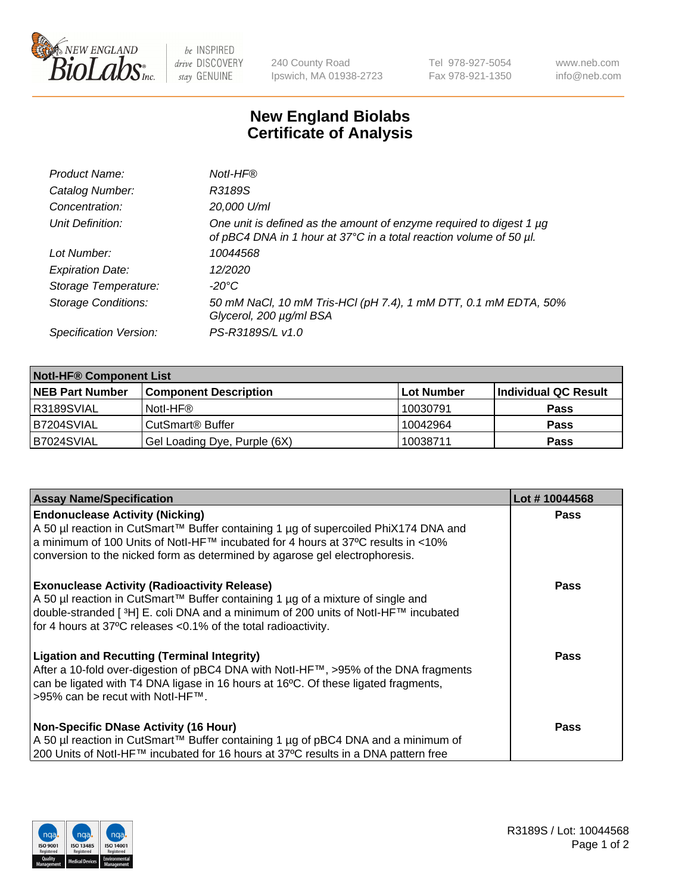

be INSPIRED drive DISCOVERY stay GENUINE

240 County Road Ipswich, MA 01938-2723 Tel 978-927-5054 Fax 978-921-1350 www.neb.com info@neb.com

## **New England Biolabs Certificate of Analysis**

| Product Name:              | Notl-HF®                                                                                                                                  |
|----------------------------|-------------------------------------------------------------------------------------------------------------------------------------------|
| Catalog Number:            | R3189S                                                                                                                                    |
| Concentration:             | 20,000 U/ml                                                                                                                               |
| Unit Definition:           | One unit is defined as the amount of enzyme required to digest 1 µg<br>of pBC4 DNA in 1 hour at 37°C in a total reaction volume of 50 µl. |
| Lot Number:                | 10044568                                                                                                                                  |
| <b>Expiration Date:</b>    | 12/2020                                                                                                                                   |
| Storage Temperature:       | -20°C                                                                                                                                     |
| <b>Storage Conditions:</b> | 50 mM NaCl, 10 mM Tris-HCl (pH 7.4), 1 mM DTT, 0.1 mM EDTA, 50%<br>Glycerol, 200 µg/ml BSA                                                |
| Specification Version:     | PS-R3189S/L v1.0                                                                                                                          |

| <b>Notl-HF® Component List</b> |                              |            |                      |  |
|--------------------------------|------------------------------|------------|----------------------|--|
| <b>NEB Part Number</b>         | <b>Component Description</b> | Lot Number | Individual QC Result |  |
| R3189SVIAL                     | Notl-HF®                     | 10030791   | <b>Pass</b>          |  |
| IB7204SVIAL                    | CutSmart <sup>®</sup> Buffer | 10042964   | <b>Pass</b>          |  |
| B7024SVIAL                     | Gel Loading Dye, Purple (6X) | 10038711   | <b>Pass</b>          |  |

| <b>Assay Name/Specification</b>                                                                                                                                                                                                                                                                 | Lot #10044568 |
|-------------------------------------------------------------------------------------------------------------------------------------------------------------------------------------------------------------------------------------------------------------------------------------------------|---------------|
| <b>Endonuclease Activity (Nicking)</b><br>A 50 µl reaction in CutSmart™ Buffer containing 1 µg of supercoiled PhiX174 DNA and                                                                                                                                                                   | <b>Pass</b>   |
| a minimum of 100 Units of NotI-HF™ incubated for 4 hours at 37°C results in <10%<br>conversion to the nicked form as determined by agarose gel electrophoresis.                                                                                                                                 |               |
| <b>Exonuclease Activity (Radioactivity Release)</b><br>  A 50 µl reaction in CutSmart™ Buffer containing 1 µg of a mixture of single and<br>double-stranded [3H] E. coli DNA and a minimum of 200 units of Notl-HF™ incubated<br>for 4 hours at 37°C releases <0.1% of the total radioactivity. | <b>Pass</b>   |
| <b>Ligation and Recutting (Terminal Integrity)</b><br>After a 10-fold over-digestion of pBC4 DNA with Notl-HF™, >95% of the DNA fragments<br>can be ligated with T4 DNA ligase in 16 hours at 16 $\degree$ C. Of these ligated fragments,<br>1>95% can be recut with NotI-HF™.                  | <b>Pass</b>   |
| Non-Specific DNase Activity (16 Hour)<br>A 50 µl reaction in CutSmart™ Buffer containing 1 µg of pBC4 DNA and a minimum of<br>200 Units of NotI-HF™ incubated for 16 hours at 37°C results in a DNA pattern free                                                                                | Pass          |